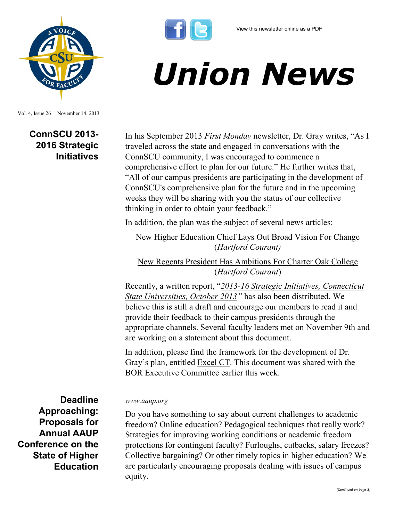



Vol. 4, Issue 26 | November 14, 2013

## **ConnSCU 2013- 2016 Strategic Initiatives**

In his [September 2013](http://www.ct.edu/files/update/Sept-2013.html) *First Monday* newsletter, Dr. Gray writes, "As I traveled across the state and engaged in conversations with the ConnSCU community, I was encouraged to commence a comprehensive effort to plan for our future." He further writes that, "All of our campus presidents are participating in the development of ConnSCU's comprehensive plan for the future and in the upcoming weeks they will be sharing with you the status of our collective thinking in order to obtain your feedback."

*Union News*

In addition, the plan was the subject of several news articles:

[New Higher Education Chief Lays Out Broad Vision For Change](http://articles.courant.com/2013-08-28/news/hc-regents-new-plan-0829-20130828_1_community-colleges-universities-declining-enrollment) (*Hartford Courant)*

[New Regents President Has Ambitions For Charter Oak College](http://articles.courant.com/2013-09-02/news/hc-charter-oak-state-college-0902-20130830_1_college-degrees-charter-oak-state-college-college-credits) (*Hartford Courant*)

Recently, a written report, "*[2013-16 Strategic Initiatives, Connecticut](http://www.csuaaup.org/wp-content/uploads/2013/11/ConnSCU-Strategic-Plan.pdf)  [State Universities, October 2013](http://www.csuaaup.org/wp-content/uploads/2013/11/ConnSCU-Strategic-Plan.pdf)"* has also been distributed. We believe this is still a draft and encourage our members to read it and provide their feedback to their campus presidents through the appropriate channels. Several faculty leaders met on November 9th and are working on a statement about this document.

In addition, please find the [framework](http://www.csuaaup.org/wp-content/uploads/2013/11/Excel-CT-Plan.pdf) for the development of Dr. Gray's plan, entitled [Excel CT.](http://www.csuaaup.org/wp-content/uploads/2013/11/Excel-CT-Plan.pdf) This document was shared with the BOR Executive Committee earlier this week.

**Deadline Approaching: Proposals for Annual AAUP Conference on the State of Higher Education** 

## *www.aaup.org*

Do you have something to say about current challenges to academic freedom? Online education? Pedagogical techniques that really work? Strategies for improving working conditions or academic freedom protections for contingent faculty? Furloughs, cutbacks, salary freezes? Collective bargaining? Or other timely topics in higher education? We are particularly encouraging proposals dealing with issues of campus equity.